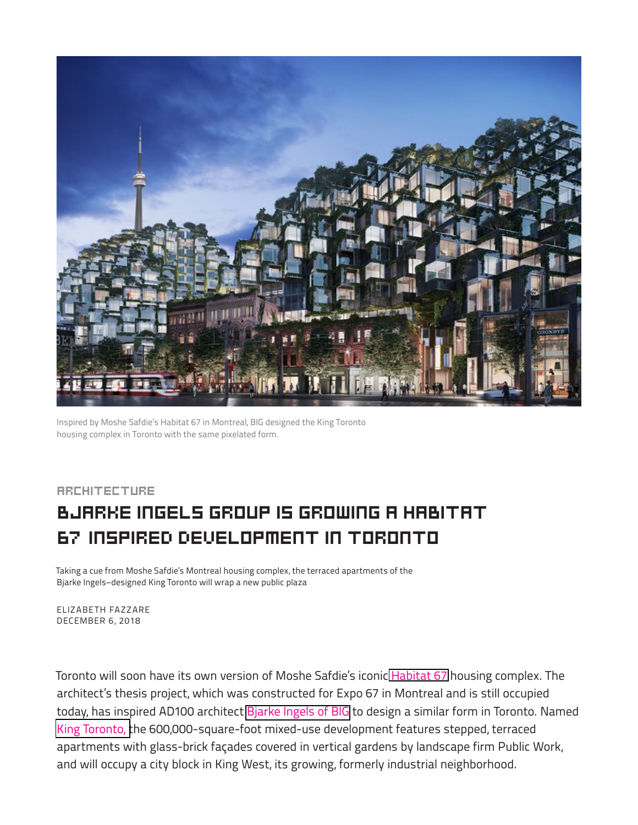

Inspired by Moshe Safdie's Habitat 67 in Montreal, BIG designed the King Toronto housing complex in Toronto with the same pixelated form.

## **ARCHITECTURE** Bjarke Ingels Group Is Growing a Habitat 67–Inspired Development in Toronto

Taking a cue from Moshe Safdie's Montreal housing complex, the terraced apartments of the Bjarke Ingels–designed King Toronto will wrap a new public plaza

ELIZABETH FAZZARE DECEMBER 6, 2018

Toronto will soon have its own version of Moshe Safdie's iconic [Habitat 67](https://www.architecturaldigest.com/story/what-it-was-like-to-live-inside-habitat-67) housing complex. The architect's thesis project, which was constructed for Expo 67 in Montreal and is still occupied today, has inspired AD100 architect [Bjarke Ingels of BIG](https://www.architecturaldigest.com/story/2017-ad100-big-bjarke-ingels-group) to design a similar form in Toronto. Named [King Toronto, t](http://kingtoronto.com/)he 600,000-square-foot mixed-use development features stepped, terraced apartments with glass-brick façades covered in vertical gardens by landscape firm Public Work, and will occupy a city block in King West, its growing, formerly industrial neighborhood.